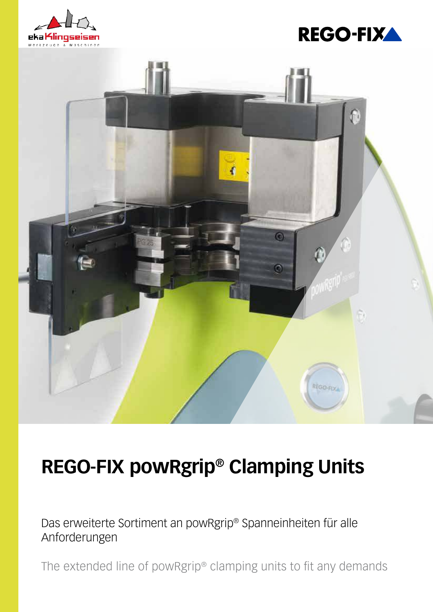





# **REGO-FIX powRgrip® Clamping Units**

Das erweiterte Sortiment an powRgrip® Spanneinheiten für alle Anforderungen

The extended line of powRgrip® clamping units to fit any demands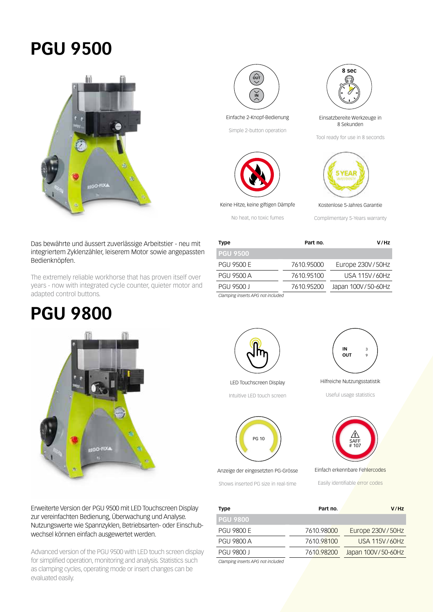### **PGU 9500**







Simple 2-button operation



Keine Hitze, keine giftigen Dämpfe

No heat, no toxic fumes



**8 sec**

Tool ready for use in 8 seconds



Kostenlose 5-Jahres Garantie

Complimentary 5-Years warranty

#### Das bewährte und äussert zuverlässige Arbeitstier - neu mit integriertem Zyklenzähler, leiserem Motor sowie angepassten Bedienknöpfen.

The extremely reliable workhorse that has proven itself over years - now with integrated cycle counter, quieter motor and adapted control buttons.

## **PGU 9800**



Erweiterte Version der PGU 9500 mit LED Touchscreen Display zur vereinfachten Bedienung, Überwachung und Analyse. Nutzungswerte wie Spannzyklen, Betriebsarten- oder Einschubwechsel können einfach ausgewertet werden.

Advanced version of the PGU 9500 with LED touch screen display for simplified operation, monitoring and analysis. Statistics such as clamping cycles, operating mode or insert changes can be evaluated easily.







Anzeige der eingesetzten PG-Grösse

Shows inserted PG size in real-time



Hilfreiche Nutzungsstatistik

Useful usage statistics



Einfach erkennbare Fehlercodes

Easily identifiable error codes

| <b>Type</b>                       | Part no.   | V/Hz               |
|-----------------------------------|------------|--------------------|
| <b>PGU 9800</b>                   |            |                    |
| <b>PGU 9800 E</b>                 | 7610.98000 | Europe 230V/50Hz   |
| <b>PGU 9800 A</b>                 | 7610.98100 | USA 115V/60Hz      |
| <b>PGU 9800 J</b>                 | 7610.98200 | Japan 100V/50-60Hz |
| Clamping inserts APG not included |            |                    |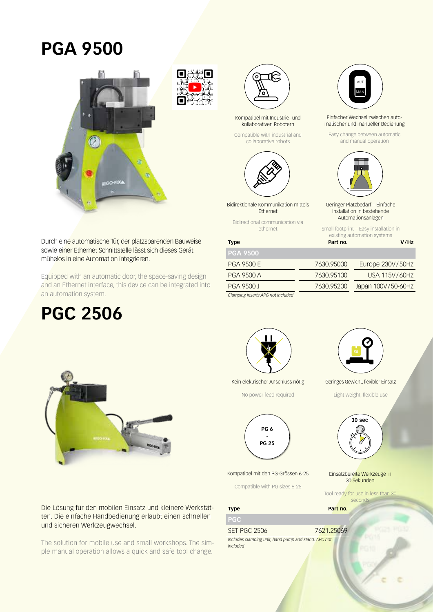#### **PGA 9500**





Kompatibel mit Industrie- und kollaborativen Robotern

Compatible with industrial and collaborative robots



Bidirektionale Kommunikation mittels Ethernet

Bidirectional communication via ethernet

AUT MAN

Einfacher Wechsel zwischen automatischer und manueller Bedienung

Easy change between automatic and manual operation



Geringer Platzbedarf – Einfache Installation in bestehende Automationsanlagen

Small footprint – Easy installation in

existing automation systems **Type Part no. Part no. V/Hz** 

Durch eine automatische Tür, der platzsparenden Bauweise sowie einer Ethernet Schnittstelle lässt sich dieses Gerät mühelos in eine Automation integrieren.

Equipped with an automatic door, the space-saving design and an Ethernet interface, this device can be integrated into an automation system.

## **PGC 2506**



Die Lösung für den mobilen Einsatz und kleinere Werkstätten. Die einfache Handbedienung erlaubt einen schnellen und sicheren Werkzeugwechsel.

The solution for mobile use and small workshops. The simple manual operation allows a quick and safe tool change.

| <b>PGA 9500</b>                   |            |                    |
|-----------------------------------|------------|--------------------|
| <b>PGA 9500 E</b>                 | 7630.95000 | Europe 230V/50Hz   |
| PGA 9500 A                        | 7630.95100 | USA 115V/60Hz      |
| PGA 9500 J                        | 7630.95200 | Japan 100V/50-60Hz |
| Clamping inserts APG not included |            |                    |



Kein elektrischer Anschluss nötig

No power feed required



Kompatibel mit den PG-Grössen 6-25

Compatible with PG sizes 6-25

**PGC** 

**Type Part no.** 

SET PGC 2506 7621.25069

*Includes clamping unit, hand pump and stand. APC not included*



Geringes Gewicht, flexibler Einsatz

Light weight, flexible use



Einsatzbereite Werkzeuge in 30 Sekunden

Tool ready for use in less than 30 seconds